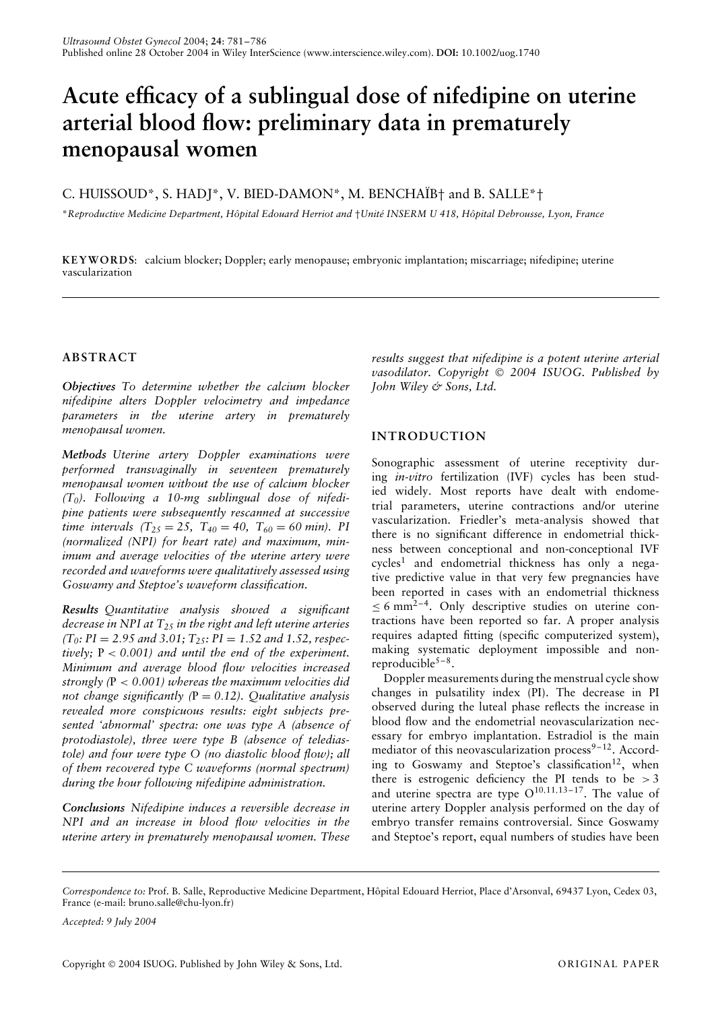# **Acute efficacy of a sublingual dose of nifedipine on uterine arterial blood flow: preliminary data in prematurely menopausal women**

# C. HUISSOUD\*, S. HADJ\*, V. BIED-DAMON\*, M. BENCHAÏB† and B. SALLE\*†

\**Reproductive Medicine Department, Hopital Edouard Herriot and ˆ* †*Unite INSERM U 418, H ´ opital Debrousse, Lyon, France ˆ*

**KEYWORDS**: calcium blocker; Doppler; early menopause; embryonic implantation; miscarriage; nifedipine; uterine vascularization

## **ABSTRACT**

*Objectives To determine whether the calcium blocker nifedipine alters Doppler velocimetry and impedance parameters in the uterine artery in prematurely menopausal women.*

*Methods Uterine artery Doppler examinations were performed transvaginally in seventeen prematurely menopausal women without the use of calcium blocker (T0). Following a 10-mg sublingual dose of nifedipine patients were subsequently rescanned at successive time intervals*  $(T_{25} = 25, T_{40} = 40, T_{60} = 60 \text{ min}$ . PI *(normalized (NPI) for heart rate) and maximum, minimum and average velocities of the uterine artery were recorded and waveforms were qualitatively assessed using Goswamy and Steptoe's waveform classification.*

*Results Quantitative analysis showed a significant decrease in NPI at T25 in the right and left uterine arteries*  $(T_0: PI = 2.95$  and  $3.01; T_{25}: PI = 1.52$  and  $1.52$ , respec*tively;* P *< 0.001) and until the end of the experiment. Minimum and average blood flow velocities increased strongly (*P *< 0.001) whereas the maximum velocities did not change significantly (*P = *0.12). Qualitative analysis revealed more conspicuous results: eight subjects presented 'abnormal' spectra: one was type A (absence of protodiastole), three were type B (absence of telediastole) and four were type O (no diastolic blood flow); all of them recovered type C waveforms (normal spectrum) during the hour following nifedipine administration.*

*Conclusions Nifedipine induces a reversible decrease in NPI and an increase in blood flow velocities in the uterine artery in prematurely menopausal women. These*

*results suggest that nifedipine is a potent uterine arterial vasodilator. Copyright 2004 ISUOG. Published by John Wiley & Sons, Ltd.*

#### **INTRODUCTION**

Sonographic assessment of uterine receptivity during *in-vitro* fertilization (IVF) cycles has been studied widely. Most reports have dealt with endometrial parameters, uterine contractions and/or uterine vascularization. Friedler's meta-analysis showed that there is no significant difference in endometrial thickness between conceptional and non-conceptional IVF  $cycles<sup>1</sup>$  and endometrial thickness has only a negative predictive value in that very few pregnancies have been reported in cases with an endometrial thickness  $\leq 6$  mm<sup>2-4</sup>. Only descriptive studies on uterine contractions have been reported so far. A proper analysis requires adapted fitting (specific computerized system), making systematic deployment impossible and nonreproducible $5-8$ .

Doppler measurements during the menstrual cycle show changes in pulsatility index (PI). The decrease in PI observed during the luteal phase reflects the increase in blood flow and the endometrial neovascularization necessary for embryo implantation. Estradiol is the main mediator of this neovascularization process $9-12$ . According to Goswamy and Steptoe's classification<sup>12</sup>, when there is estrogenic deficiency the PI tends to be *>* 3 and uterine spectra are type  $O^{10,11,13-17}$ . The value of uterine artery Doppler analysis performed on the day of embryo transfer remains controversial. Since Goswamy and Steptoe's report, equal numbers of studies have been

*Accepted: 9 July 2004*

*Correspondence to:* Prof. B. Salle, Reproductive Medicine Department, Hopital Edouard Herriot, Place d'Arsonval, 69437 Lyon, Cedex 03, ˆ France (e-mail: bruno.salle@chu-lyon.fr)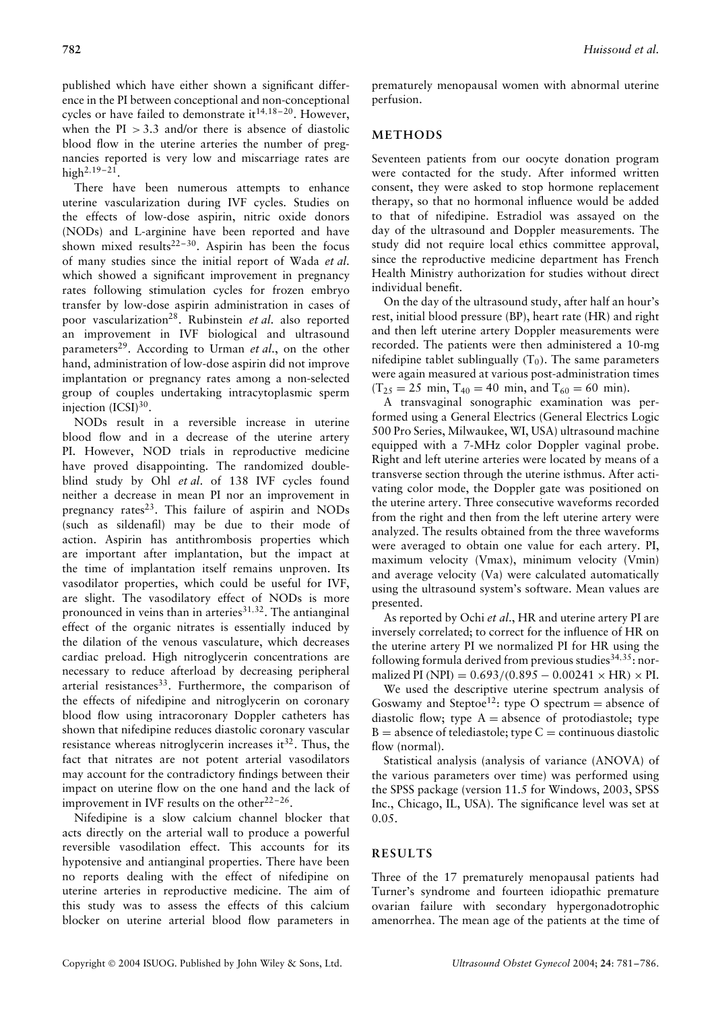published which have either shown a significant difference in the PI between conceptional and non-conceptional cycles or have failed to demonstrate it<sup>14,18-20</sup>. However, when the PI *>* 3.3 and/or there is absence of diastolic blood flow in the uterine arteries the number of pregnancies reported is very low and miscarriage rates are high2*,*19–21.

There have been numerous attempts to enhance uterine vascularization during IVF cycles. Studies on the effects of low-dose aspirin, nitric oxide donors (NODs) and L-arginine have been reported and have shown mixed results<sup>22–30</sup>. Aspirin has been the focus of many studies since the initial report of Wada *et al*. which showed a significant improvement in pregnancy rates following stimulation cycles for frozen embryo transfer by low-dose aspirin administration in cases of poor vascularization28. Rubinstein *et al*. also reported an improvement in IVF biological and ultrasound parameters29. According to Urman *et al*., on the other hand, administration of low-dose aspirin did not improve implantation or pregnancy rates among a non-selected group of couples undertaking intracytoplasmic sperm injection  $(ICSI)^{30}$ .

NODs result in a reversible increase in uterine blood flow and in a decrease of the uterine artery PI. However, NOD trials in reproductive medicine have proved disappointing. The randomized doubleblind study by Ohl *et al*. of 138 IVF cycles found neither a decrease in mean PI nor an improvement in pregnancy rates<sup>23</sup>. This failure of aspirin and NODs (such as sildenafil) may be due to their mode of action. Aspirin has antithrombosis properties which are important after implantation, but the impact at the time of implantation itself remains unproven. Its vasodilator properties, which could be useful for IVF, are slight. The vasodilatory effect of NODs is more pronounced in veins than in arteries<sup>31,32</sup>. The antianginal effect of the organic nitrates is essentially induced by the dilation of the venous vasculature, which decreases cardiac preload. High nitroglycerin concentrations are necessary to reduce afterload by decreasing peripheral arterial resistances $33$ . Furthermore, the comparison of the effects of nifedipine and nitroglycerin on coronary blood flow using intracoronary Doppler catheters has shown that nifedipine reduces diastolic coronary vascular resistance whereas nitroglycerin increases  $it^{32}$ . Thus, the fact that nitrates are not potent arterial vasodilators may account for the contradictory findings between their impact on uterine flow on the one hand and the lack of improvement in IVF results on the other $22-26$ .

Nifedipine is a slow calcium channel blocker that acts directly on the arterial wall to produce a powerful reversible vasodilation effect. This accounts for its hypotensive and antianginal properties. There have been no reports dealing with the effect of nifedipine on uterine arteries in reproductive medicine. The aim of this study was to assess the effects of this calcium blocker on uterine arterial blood flow parameters in

prematurely menopausal women with abnormal uterine perfusion.

#### **METHODS**

Seventeen patients from our oocyte donation program were contacted for the study. After informed written consent, they were asked to stop hormone replacement therapy, so that no hormonal influence would be added to that of nifedipine. Estradiol was assayed on the day of the ultrasound and Doppler measurements. The study did not require local ethics committee approval, since the reproductive medicine department has French Health Ministry authorization for studies without direct individual benefit.

On the day of the ultrasound study, after half an hour's rest, initial blood pressure (BP), heart rate (HR) and right and then left uterine artery Doppler measurements were recorded. The patients were then administered a 10-mg nifedipine tablet sublingually  $(T_0)$ . The same parameters were again measured at various post-administration times  $(T_{25} = 25 \text{ min}, T_{40} = 40 \text{ min}, \text{ and } T_{60} = 60 \text{ min}.$ 

A transvaginal sonographic examination was performed using a General Electrics (General Electrics Logic 500 Pro Series, Milwaukee, WI, USA) ultrasound machine equipped with a 7-MHz color Doppler vaginal probe. Right and left uterine arteries were located by means of a transverse section through the uterine isthmus. After activating color mode, the Doppler gate was positioned on the uterine artery. Three consecutive waveforms recorded from the right and then from the left uterine artery were analyzed. The results obtained from the three waveforms were averaged to obtain one value for each artery. PI, maximum velocity (Vmax), minimum velocity (Vmin) and average velocity (Va) were calculated automatically using the ultrasound system's software. Mean values are presented.

As reported by Ochi *et al*., HR and uterine artery PI are inversely correlated; to correct for the influence of HR on the uterine artery PI we normalized PI for HR using the following formula derived from previous studies34*,*35: normalized PI *(*NPI*)* = 0*.*693*/(*0*.*895 − 0*.*00241 × HR*)* × PI.

We used the descriptive uterine spectrum analysis of Goswamy and Steptoe<sup>12</sup>: type O spectrum = absence of diastolic flow; type  $A =$  absence of protodiastole; type  $B =$  absence of telediastole; type  $C =$  continuous diastolic flow (normal).

Statistical analysis (analysis of variance (ANOVA) of the various parameters over time) was performed using the SPSS package (version 11.5 for Windows, 2003, SPSS Inc., Chicago, IL, USA). The significance level was set at 0.05.

## **RESULTS**

Three of the 17 prematurely menopausal patients had Turner's syndrome and fourteen idiopathic premature ovarian failure with secondary hypergonadotrophic amenorrhea. The mean age of the patients at the time of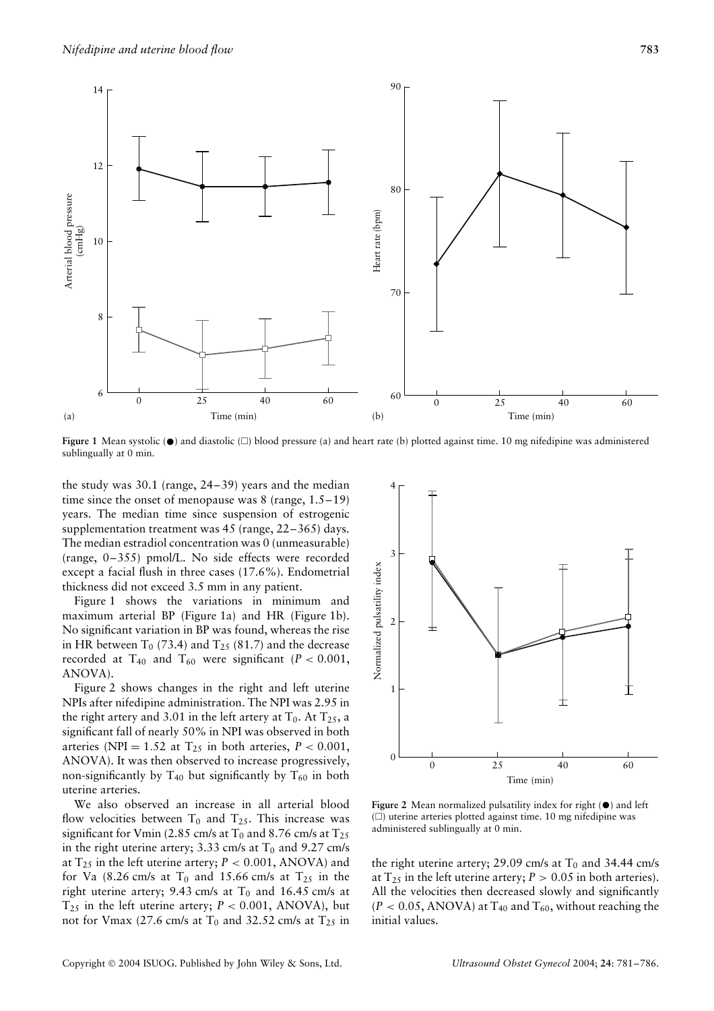

**Figure 1** Mean systolic ( $\bullet$ ) and diastolic ( $\Box$ ) blood pressure (a) and heart rate (b) plotted against time. 10 mg nifedipine was administered sublingually at 0 min.

the study was 30.1 (range, 24–39) years and the median time since the onset of menopause was 8 (range, 1.5–19) years. The median time since suspension of estrogenic supplementation treatment was 45 (range, 22–365) days. The median estradiol concentration was 0 (unmeasurable) (range, 0–355) pmol/L. No side effects were recorded except a facial flush in three cases (17.6%). Endometrial thickness did not exceed 3.5 mm in any patient.

Figure 1 shows the variations in minimum and maximum arterial BP (Figure 1a) and HR (Figure 1b). No significant variation in BP was found, whereas the rise in HR between  $T_0$  (73.4) and  $T_{25}$  (81.7) and the decrease recorded at T<sub>40</sub> and T<sub>60</sub> were significant ( $P < 0.001$ , ANOVA).

Figure 2 shows changes in the right and left uterine NPIs after nifedipine administration. The NPI was 2.95 in the right artery and 3.01 in the left artery at  $T_0$ . At  $T_2$ , a significant fall of nearly 50% in NPI was observed in both arteries (NPI =  $1.52$  at  $T_{25}$  in both arteries,  $P < 0.001$ , ANOVA). It was then observed to increase progressively, non-significantly by  $T_{40}$  but significantly by  $T_{60}$  in both uterine arteries.

We also observed an increase in all arterial blood flow velocities between  $T_0$  and  $T_{25}$ . This increase was significant for Vmin (2.85 cm/s at  $T_0$  and 8.76 cm/s at  $T_{25}$ in the right uterine artery; 3.33 cm/s at  $T_0$  and 9.27 cm/s at  $T_{25}$  in the left uterine artery;  $P < 0.001$ , ANOVA) and for Va (8.26 cm/s at  $T_0$  and 15.66 cm/s at  $T_{25}$  in the right uterine artery; 9.43 cm/s at  $T_0$  and 16.45 cm/s at  $T_{25}$  in the left uterine artery;  $P < 0.001$ , ANOVA), but not for Vmax (27.6 cm/s at T<sub>0</sub> and 32.52 cm/s at T<sub>25</sub> in



Figure 2 Mean normalized pulsatility index for right ( $\bullet$ ) and left  $(\Box)$  uterine arteries plotted against time. 10 mg nifedipine was administered sublingually at 0 min.

the right uterine artery; 29.09 cm/s at  $T_0$  and 34.44 cm/s at  $T_{25}$  in the left uterine artery;  $P > 0.05$  in both arteries). All the velocities then decreased slowly and significantly  $(P < 0.05, ANOVA)$  at T<sub>40</sub> and T<sub>60</sub>, without reaching the initial values.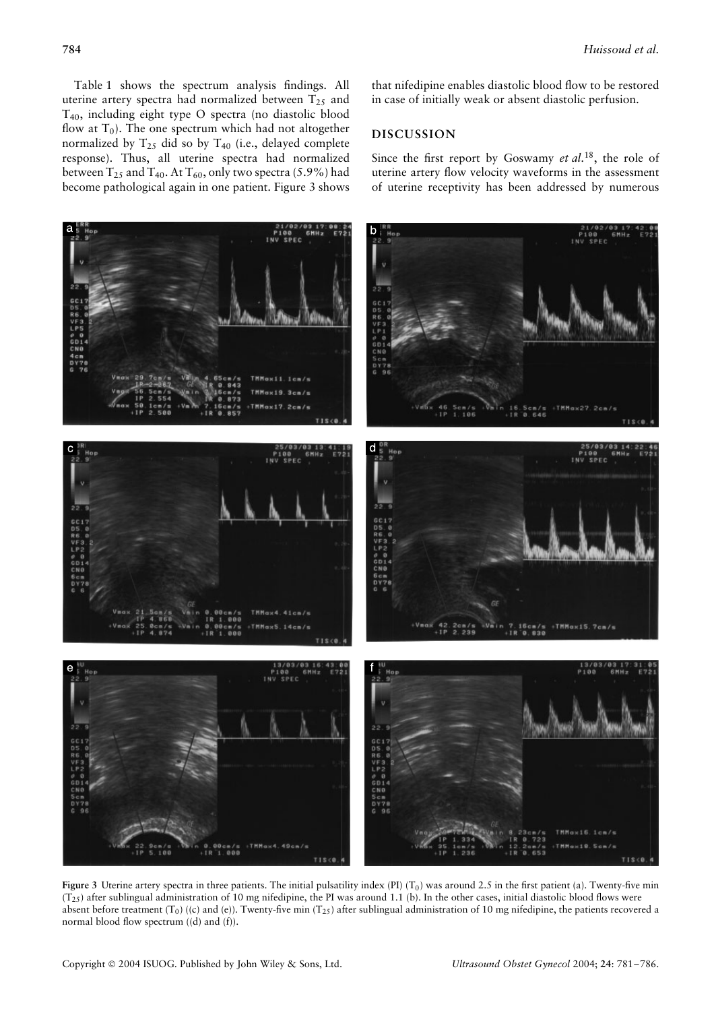Table 1 shows the spectrum analysis findings. All uterine artery spectra had normalized between  $T_{25}$  and T40, including eight type O spectra (no diastolic blood flow at  $T_0$ ). The one spectrum which had not altogether normalized by  $T_{25}$  did so by  $T_{40}$  (i.e., delayed complete response). Thus, all uterine spectra had normalized between  $T_{25}$  and  $T_{40}$ . At  $T_{60}$ , only two spectra (5.9%) had become pathological again in one patient. Figure 3 shows

that nifedipine enables diastolic blood flow to be restored in case of initially weak or absent diastolic perfusion.

#### **DISCUSSION**

Since the first report by Goswamy *et al*. 18, the role of uterine artery flow velocity waveforms in the assessment of uterine receptivity has been addressed by numerous



**Figure 3** Uterine artery spectra in three patients. The initial pulsatility index (PI)  $(T_0)$  was around 2.5 in the first patient (a). Twenty-five min  $(T_{25})$  after sublingual administration of 10 mg nifedipine, the PI was around 1.1 (b). In the other cases, initial diastolic blood flows were absent before treatment (T<sub>0</sub>) ((c) and (e)). Twenty-five min (T<sub>25</sub>) after sublingual administration of 10 mg nifedipine, the patients recovered a normal blood flow spectrum ((d) and (f)).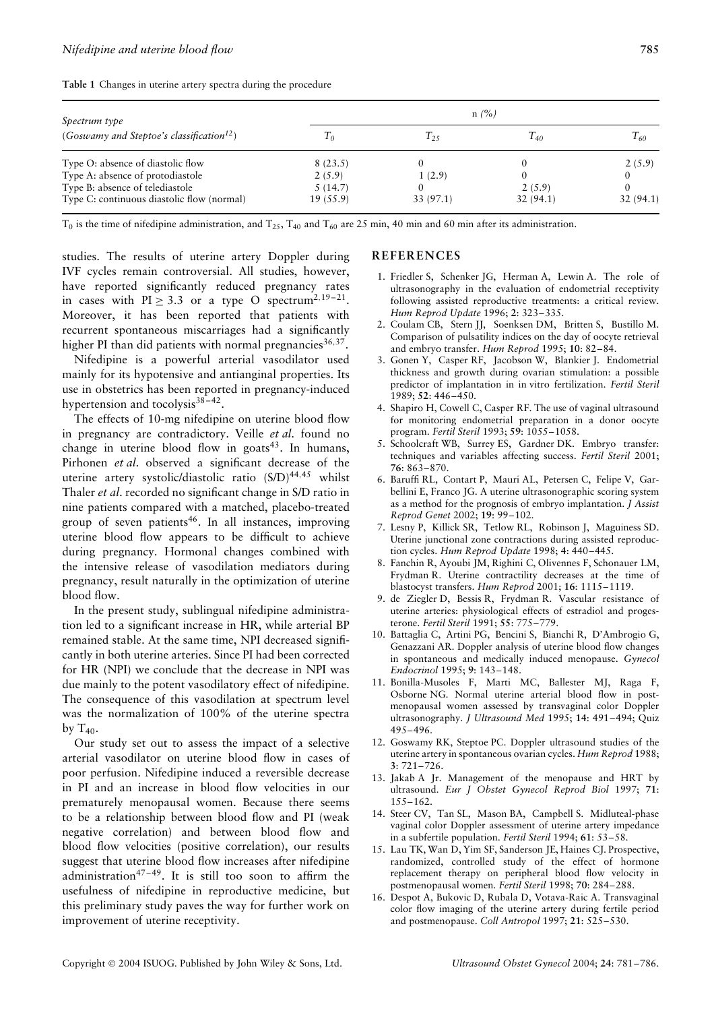|  | Table 1 Changes in uterine artery spectra during the procedure |  |  |
|--|----------------------------------------------------------------|--|--|
|  |                                                                |  |  |

| Spectrum type                                         | n/(%)    |          |          |          |  |
|-------------------------------------------------------|----------|----------|----------|----------|--|
| (Goswamy and Steptoe's classification <sup>12</sup> ) | Tο       | $T_{25}$ | $T_{40}$ | $T_{60}$ |  |
| Type O: absence of diastolic flow                     | 8(23.5)  |          |          | 2(5.9)   |  |
| Type A: absence of protodiastole                      | 2(5.9)   | 1(2.9)   |          |          |  |
| Type B: absence of telediastole                       | 5(14.7)  |          | 2(5.9)   |          |  |
| Type C: continuous diastolic flow (normal)            | 19(55.9) | 33(97.1) | 32(94.1) | 32(94.1) |  |

 $T_0$  is the time of nifedipine administration, and  $T_{25}$ ,  $T_{40}$  and  $T_{60}$  are 25 min, 40 min and 60 min after its administration.

studies. The results of uterine artery Doppler during IVF cycles remain controversial. All studies, however, have reported significantly reduced pregnancy rates in cases with  $PI \geq 3.3$  or a type O spectrum<sup>2,19–21</sup>. Moreover, it has been reported that patients with recurrent spontaneous miscarriages had a significantly higher PI than did patients with normal pregnancies<sup>36,37</sup>.

Nifedipine is a powerful arterial vasodilator used mainly for its hypotensive and antianginal properties. Its use in obstetrics has been reported in pregnancy-induced hypertension and tocolysis<sup>38-42</sup>.

The effects of 10-mg nifedipine on uterine blood flow in pregnancy are contradictory. Veille *et al*. found no change in uterine blood flow in goats<sup>43</sup>. In humans, Pirhonen *et al*. observed a significant decrease of the uterine artery systolic/diastolic ratio (S/D)44*,*<sup>45</sup> whilst Thaler *et al*. recorded no significant change in S/D ratio in nine patients compared with a matched, placebo-treated group of seven patients<sup>46</sup>. In all instances, improving uterine blood flow appears to be difficult to achieve during pregnancy. Hormonal changes combined with the intensive release of vasodilation mediators during pregnancy, result naturally in the optimization of uterine blood flow.

In the present study, sublingual nifedipine administration led to a significant increase in HR, while arterial BP remained stable. At the same time, NPI decreased significantly in both uterine arteries. Since PI had been corrected for HR (NPI) we conclude that the decrease in NPI was due mainly to the potent vasodilatory effect of nifedipine. The consequence of this vasodilation at spectrum level was the normalization of 100% of the uterine spectra by  $T_{40}$ .

Our study set out to assess the impact of a selective arterial vasodilator on uterine blood flow in cases of poor perfusion. Nifedipine induced a reversible decrease in PI and an increase in blood flow velocities in our prematurely menopausal women. Because there seems to be a relationship between blood flow and PI (weak negative correlation) and between blood flow and blood flow velocities (positive correlation), our results suggest that uterine blood flow increases after nifedipine administration<sup>47-49</sup>. It is still too soon to affirm the usefulness of nifedipine in reproductive medicine, but this preliminary study paves the way for further work on improvement of uterine receptivity.

#### **REFERENCES**

- 1. Friedler S, Schenker JG, Herman A, Lewin A. The role of ultrasonography in the evaluation of endometrial receptivity following assisted reproductive treatments: a critical review. *Hum Reprod Update* 1996; **2**: 323–335.
- 2. Coulam CB, Stern JJ, Soenksen DM, Britten S, Bustillo M. Comparison of pulsatility indices on the day of oocyte retrieval and embryo transfer. *Hum Reprod* 1995; **10**: 82–84.
- 3. Gonen Y, Casper RF, Jacobson W, Blankier J. Endometrial thickness and growth during ovarian stimulation: a possible predictor of implantation in in vitro fertilization. *Fertil Steril* 1989; **52**: 446–450.
- 4. Shapiro H, Cowell C, Casper RF. The use of vaginal ultrasound for monitoring endometrial preparation in a donor oocyte program. *Fertil Steril* 1993; **59**: 1055–1058.
- 5. Schoolcraft WB, Surrey ES, Gardner DK. Embryo transfer: techniques and variables affecting success. *Fertil Steril* 2001; **76**: 863–870.
- 6. Baruffi RL, Contart P, Mauri AL, Petersen C, Felipe V, Garbellini E, Franco JG. A uterine ultrasonographic scoring system as a method for the prognosis of embryo implantation. *J Assist Reprod Genet* 2002; **19**: 99–102.
- 7. Lesny P, Killick SR, Tetlow RL, Robinson J, Maguiness SD. Uterine junctional zone contractions during assisted reproduction cycles. *Hum Reprod Update* 1998; **4**: 440–445.
- 8. Fanchin R, Ayoubi JM, Righini C, Olivennes F, Schonauer LM, Frydman R. Uterine contractility decreases at the time of blastocyst transfers. *Hum Reprod* 2001; **16**: 1115–1119.
- 9. de Ziegler D, Bessis R, Frydman R. Vascular resistance of uterine arteries: physiological effects of estradiol and progesterone. *Fertil Steril* 1991; **55**: 775–779.
- 10. Battaglia C, Artini PG, Bencini S, Bianchi R, D'Ambrogio G, Genazzani AR. Doppler analysis of uterine blood flow changes in spontaneous and medically induced menopause. *Gynecol Endocrinol* 1995; **9**: 143–148.
- 11. Bonilla-Musoles F, Marti MC, Ballester MJ, Raga F, Osborne NG. Normal uterine arterial blood flow in postmenopausal women assessed by transvaginal color Doppler ultrasonography. *J Ultrasound Med* 1995; **14**: 491–494; Quiz 495–496.
- 12. Goswamy RK, Steptoe PC. Doppler ultrasound studies of the uterine artery in spontaneous ovarian cycles. *Hum Reprod* 1988; **3**: 721–726.
- 13. Jakab A Jr. Management of the menopause and HRT by ultrasound. *Eur J Obstet Gynecol Reprod Biol* 1997; **71**: 155–162.
- 14. Steer CV, Tan SL, Mason BA, Campbell S. Midluteal-phase vaginal color Doppler assessment of uterine artery impedance in a subfertile population. *Fertil Steril* 1994; **61**: 53–58.
- 15. Lau TK, Wan D, Yim SF, Sanderson JE, Haines CJ. Prospective, randomized, controlled study of the effect of hormone replacement therapy on peripheral blood flow velocity in postmenopausal women. *Fertil Steril* 1998; **70**: 284–288.
- 16. Despot A, Bukovic D, Rubala D, Votava-Raic A. Transvaginal color flow imaging of the uterine artery during fertile period and postmenopause. *Coll Antropol* 1997; **21**: 525–530.